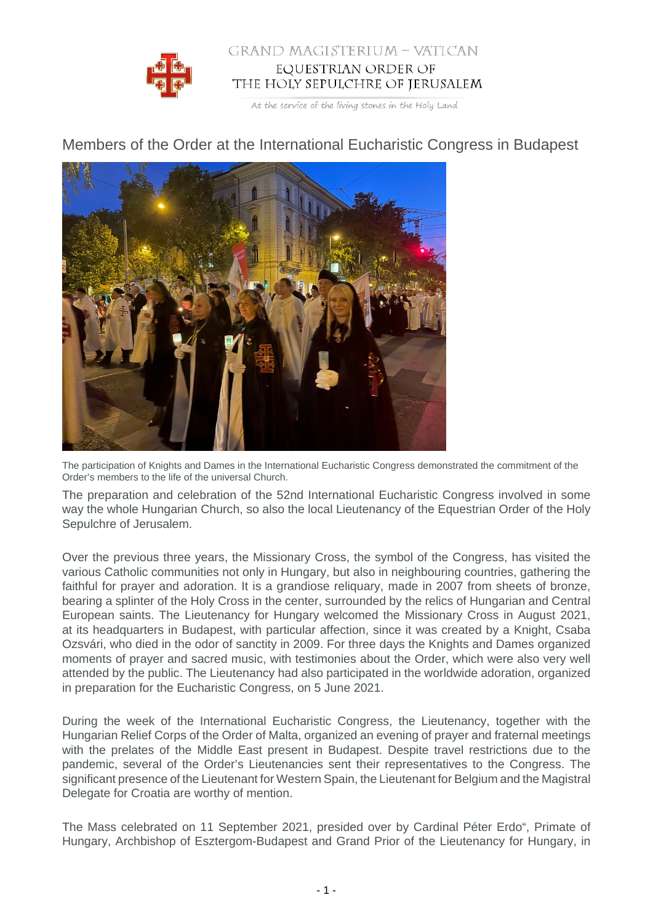

## GRAND MAGISTERIUM - VATICAN EQUESTRIAN ORDER OF THE HOLY SEPULCHRE OF JERUSALEM

At the service of the living stones in the Holy Land

## Members of the Order at the International Eucharistic Congress in Budapest



The participation of Knights and Dames in the International Eucharistic Congress demonstrated the commitment of the Order's members to the life of the universal Church.

The preparation and celebration of the 52nd International Eucharistic Congress involved in some way the whole Hungarian Church, so also the local Lieutenancy of the Equestrian Order of the Holy Sepulchre of Jerusalem.

Over the previous three years, the Missionary Cross, the symbol of the Congress, has visited the various Catholic communities not only in Hungary, but also in neighbouring countries, gathering the faithful for prayer and adoration. It is a grandiose reliquary, made in 2007 from sheets of bronze, bearing a splinter of the Holy Cross in the center, surrounded by the relics of Hungarian and Central European saints. The Lieutenancy for Hungary welcomed the Missionary Cross in August 2021, at its headquarters in Budapest, with particular affection, since it was created by a Knight, Csaba Ozsvári, who died in the odor of sanctity in 2009. For three days the Knights and Dames organized moments of prayer and sacred music, with testimonies about the Order, which were also very well attended by the public. The Lieutenancy had also participated in the worldwide adoration, organized in preparation for the Eucharistic Congress, on 5 June 2021.

During the week of the International Eucharistic Congress, the Lieutenancy, together with the Hungarian Relief Corps of the Order of Malta, organized an evening of prayer and fraternal meetings with the prelates of the Middle East present in Budapest. Despite travel restrictions due to the pandemic, several of the Order's Lieutenancies sent their representatives to the Congress. The significant presence of the Lieutenant for Western Spain, the Lieutenant for Belgium and the Magistral Delegate for Croatia are worthy of mention.

The Mass celebrated on 11 September 2021, presided over by Cardinal Péter Erdo", Primate of Hungary, Archbishop of Esztergom-Budapest and Grand Prior of the Lieutenancy for Hungary, in